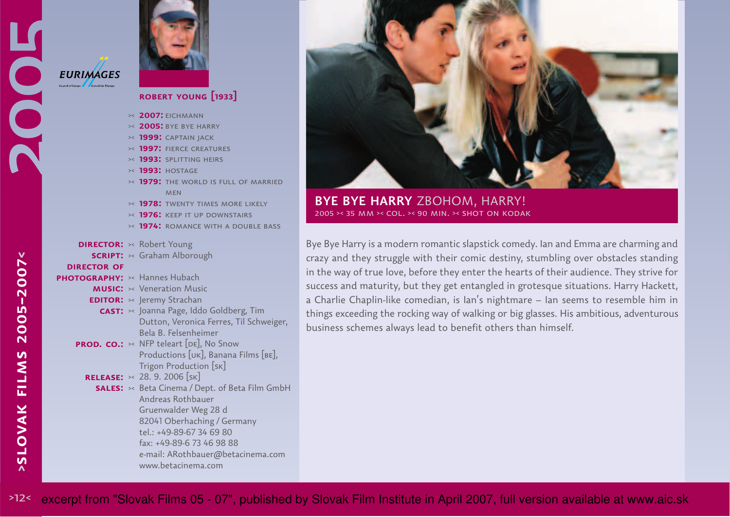

## **robert young [1933]**

**2007:** eichmann><

- **2005:** bye bye harry ><
- **1999:** captain jack ><
- **1997:** fierce creatures ><
- **1993:** splitting heirs ><
- **1993:** hostage ><
- **1979:** the world is full of married ><**MFN**
- **1978:** twenty times more likely><
- **1976:** keep it up downstairs ><

 $tel: +49-89-67346980$ fax: +49-89-6 73 46 98 88

www.betacinema.com

e-mail: ARothbauer@betacinema.com

- **1974:** romance with a double bass ><
- **DIRECTOR:** >< Robert Young **script:** >< Graham Alborough PHOTOGRAPHY:  $\times$  Hannes Hubach **MUSIC:**  $\rightarrow$  Veneration Music **EDITOR:** >< Jeremy Strachan **cast:**  $\rightarrow$  Joanna Page, Iddo Goldberg, Tim Dutton, Veronica Ferres, Til Schweiger, Bela B. Felsenheimer**PROD. CO.:**  $\times$  NFP teleart [DE], No Snow Productions [uk], Banana Films [be],Trigon Production [sk]28. 9. 2006 [sk]**release:**><**SALES:**  $\rightarrow$  Beta Cinema / Dept. of Beta Film GmbH Andreas Rothbauer Gruenwalder Weg 28 d 82041 Oberhaching / Germany**director of**



**BYE BYE HARRY** ZBOHOM, HARRY!2005 >< 35 mm >< col. >< 90 min. >< shot on kodak

Bye Bye Harry is a modern romantic slapstick comedy. Ian and Emma are charming and crazy and they struggle with their comic destiny, stumbling over obstacles standing in the way of true love, before they enter the hearts of their audience. They strive forsuccess and maturity, but they get entangled in grotesque situations. Harry Hackett, <sup>a</sup> Charlie Chaplin-like comedian, is Ian's nightmare – Ian seems to resemble him in things exceeding the rocking way of walking or big glasses. His ambitious, adventurousbusiness schemes always lead to benefit others than himself.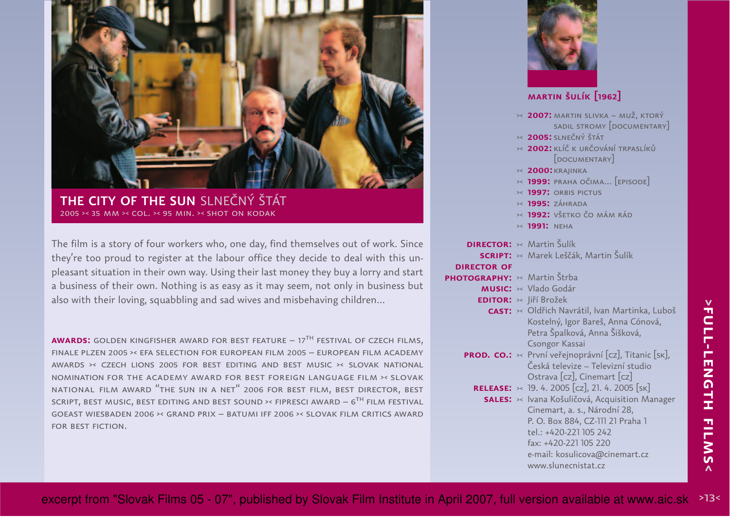

**THE CITY OF THE SUN** SLNEČNÝ ŠTÁT2005 >< 35 mm >< col. >< 95 min. >< shot on kodak

The film is a story of four workers who, one day, find themselves out of work. Since they're too proud to register at the labour office they decide to deal with this un<sup>p</sup>leasant situation in their own way. Using their last money they buy a lorry and start a business of their own. Nothing is as easy as it may seem, not only in business butalso with their loving, squabbling and sad wives and misbehaving children...

**AWARDS:** GOLDEN KINGFISHER AWARD FOR BEST FEATURE – 17<sup>TH</sup> FESTIVAL OF CZECH FILMS, finale plzen 2005 ›‹ efa selection for european film 2005 – european film academy awards ›‹ czech lions 2005 for best editing and best music ›‹ slovak national nomination for the academy award for best foreign language film ›‹ slovak<code>NATIONAL</code> FILM AWARD  $^{\prime\prime}$ THE SUN IN A NET $^{\prime\prime}$  2006 FOR BEST FILM, BEST DIRECTOR, BEST SCRIPT, BEST MUSIC, BEST EDITING AND BEST SOUND >< FIPRESCI AWARD —  $6^{\sf TH}$  FILM FESTIVAL goeast wiesbaden 2006 ›‹ grand prix – batumi iff 2006 ›‹ slovak film critics awardfor best fiction.

|                              | MARTIN ŠULÍK [1962]                                                                        |
|------------------------------|--------------------------------------------------------------------------------------------|
|                              |                                                                                            |
|                              | <b>&gt;&lt; 2007:</b> MARTIN SLIVKA - MUŽ, KTORÝ<br>SADIL STROMY [DOCUMENTARY]             |
|                              | <b>2005:</b> SLNEČNÝ ŠTÁT                                                                  |
|                              | <b>2002:</b> KLÍČ K URČOVÁNÍ TRPASLÍKŮ                                                     |
|                              | [DOCUMENTARY]                                                                              |
|                              | >< 2000: KRAJINKA<br>>< 1999: PRAHA OČIMA [EPISODE]                                        |
|                              | >< 1997: ORBIS PICTUS                                                                      |
|                              | $\times$ 1995: ZÁHRADA                                                                     |
|                              | <b>&gt;&lt; 1992:</b> VŠETKO ČO MÁM RÁD                                                    |
|                              | >< 1991: NEHA                                                                              |
|                              | <b>DIRECTOR:</b> >< Martin Šulík                                                           |
|                              | <b>SCRIPT:</b> >< Marek Leščák, Martin Šulík                                               |
| <b>DIRECTOR OF</b>           |                                                                                            |
| PHOTOGRAPHY: >< Martin Štrba | <b>MUSIC:</b> >< Vlado Godár                                                               |
|                              | <b>EDITOR: &gt;&lt; Jiří Brožek</b>                                                        |
|                              | CAST: >< Oldřich Navrátil, Ivan Martinka, Luboš                                            |
|                              | Kostelný, Igor Bareš, Anna Cónová,                                                         |
|                              | Petra Špalková, Anna Šišková,                                                              |
|                              | Csongor Kassai                                                                             |
|                              | PROD. CO.: >< První veřejnoprávní [cz], Titanic [sk],                                      |
|                              | Česká televize – Televizní studio                                                          |
|                              | Ostrava [cz], Cinemart [cz]<br><b>RELEASE:</b> $\times$ 19. 4. 2005 [cz], 21. 4. 2005 [sk] |
|                              | <b>SALES:</b> >< Ivana Košuličová, Acquisition Manager                                     |
|                              | Cinemart, a. s., Národní 28,                                                               |
|                              | P. O. Box 884, CZ-111 21 Praha 1                                                           |
|                              | tel.: +420-221 105 242                                                                     |
|                              | חרר שחו ורר חריו                                                                           |

fax: +420-221 105 220e-mail: kosulicova@cinemart.cz www.slunecnistat.cz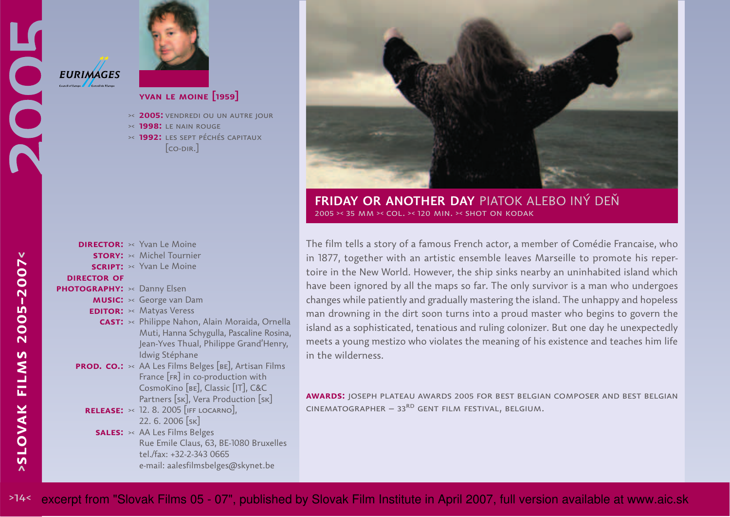

## **yvan le moine [1959]**

**2005:** vendredi ou un autre jour><

**1998:** le nain rouge

 **1992:** les sept péchés capitaux >< $[co-DIR.]$ 

|                                  | <b>DIRECTOR:</b> >< Yvan Le Moine                            |
|----------------------------------|--------------------------------------------------------------|
|                                  | <b>STORY:</b> >< Michel Tournier                             |
|                                  | <b>SCRIPT:</b> >< Yvan Le Moine                              |
| <b>DIRECTOR OF</b>               |                                                              |
| <b>OTOGRAPHY:</b> >< Danny Elsen |                                                              |
|                                  | <b>MUSIC:</b> >< George van Dam                              |
|                                  | <b>EDITOR:</b> >< Matyas Veress                              |
|                                  | <b>CAST:</b> >< Philippe Nahon, Alain Moraida, Ornella       |
|                                  | Muti, Hanna Schygulla, Pascaline Rosina,                     |
|                                  | Jean-Yves Thual, Philippe Grand'Henry,                       |
|                                  | Idwig Stéphane                                               |
|                                  | <b>PROD. CO.:</b> >< AA Les Films Belges [BE], Artisan Films |
|                                  | France [FR] in co-production with                            |
|                                  | CosmoKino [BE], Classic [IT], C&C                            |
|                                  | Partners [SK], Vera Production [SK]                          |
|                                  | <b>RELEASE:</b> $\times$ 12. 8. 2005 [IFF LOCARNO],          |
|                                  | 22. 6. 2006 [SK]                                             |
|                                  | <b>SALES:</b> >< AA Les Films Belges                         |
|                                  | Rue Emile Claus, 63, BE-1080 Bruxelles                       |
|                                  | tel./fax: +32-2-343 0665                                     |
|                                  | e-mail: aalesfilmsbelges@skynet.be                           |



**FRIDAY OR ANOTHER DAY** PIATOK ALEBO INÝ DEŇ2005 >< 35 mm >< col. >< 120 min. >< shot on kodak

The film tells a story of a famous French actor, a member of Comédie Francaise, who in 1877, together with an artistic ensemble leaves Marseille to promote his repertoire in the New World. However, the ship sinks nearby an uninhabited island which have been ignored by all the maps so far. The only survivor is a man who undergoeschanges while patiently and gradually mastering the island. The unhappy and hopelessman drowning in the dirt soon turns into a proud master who begins to govern the island as a sophisticated, tenatious and ruling colonizer. But one day he unexpectedly meets a young mestizo who violates the meaning of his existence and teaches him lifein the wilderness.

**awards:** joseph plateau awards 2005 for best belgian composer and best belgianCINEMATOGRAPHER – 33<sup>RD</sup> GENT FILM FESTIVAL, BELGIUM.

**photography:**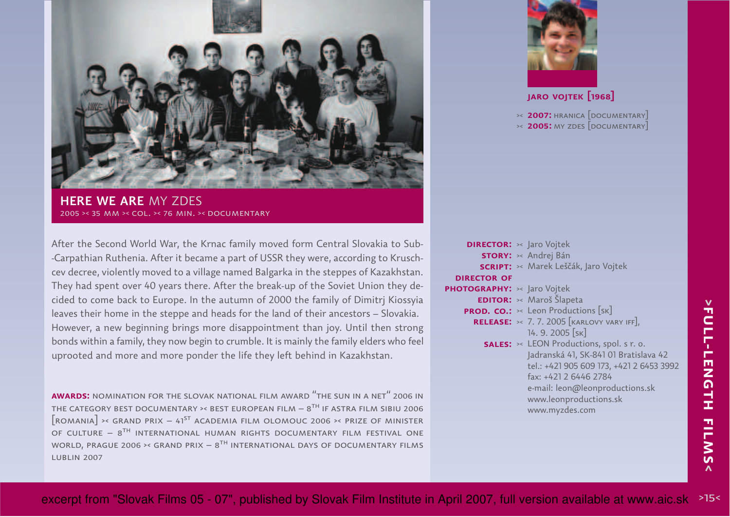

**HERE WE ARE** MY ZDES2005 >< 35 mm >< col. >< 76 min. >< documentary

After the Second World War, the Krnac family moved form Central Slovakia to Sub--Carpathian Ruthenia. After it became a part of USSR they were, according to Kruschcev decree, violently moved to a village named Balgarka in the steppes of Kazakhstan. They had spent over 40 years there. After the break-up of the Soviet Union they decided to come back to Europe. In the autumn of 2000 the family of Dimitrj Kiossyia leaves their home in the steppe and heads for the land of their ancestors – Slovakia. However, a new beginning brings more disappointment than joy. Until then strong bonds within a family, they now begin to crumble. It is mainly the family elders who feel uprooted and more and more ponder the life they left behind in Kazakhstan.

**awards:** nomination for the slovak national film award "the sun in a net" 2006 inTHE CATEGORY BEST DOCUMENTARY >< BEST EUROPEAN FILM  $\sim8^{ \text{TH} }$  IF ASTRA FILM SIBIU 2006  $\lceil$ romania $\rceil$  >< grand prix – 41<sup>st</sup> academia film olomouc 2006 >< prize of minister OF CULTURE  $8^{\sf{TH}}$  international human rights documentary film festival one WORLD, PRAGUE 2006  $\times$  GRAND PRIX –  $8^\text{TH}$  INTERNATIONAL DAYS OF DOCUMENTARY FILMS lublin 2007



## **jaro vojtek [1968]**

**2007:** hranica [documentary] ><**2005:** my zdes [documentary] ><

| <b>DIRECTOR:</b> >< Jaro Vojtek |                                                        |
|---------------------------------|--------------------------------------------------------|
|                                 | <b>STORY:</b> >< Andrej Bán                            |
|                                 | <b>SCRIPT:</b> >< Marek Leščák, Jaro Vojtek            |
| <b>DIRECTOR OF</b>              |                                                        |
| PHOTOGRAPHY: >< Jaro Vojtek     |                                                        |
|                                 | <b>EDITOR:</b> >< Maroš Šlapeta                        |
|                                 | <b>PROD. CO.:</b> $\times$ Leon Productions [SK]       |
|                                 | <b>RELEASE:</b> $\times$ 7.7.2005 [KARLOVY VARY IFF],  |
|                                 | 14.9.2005 [SK]                                         |
|                                 | <b>SALES:</b> $\times$ LEON Productions, spol. s r. o. |
|                                 | Jadranská 41, SK-841 01 Bratislava 42                  |
|                                 | tel.: +421 905 609 173, +421 2 6453 3992               |
|                                 | fax: +421 2 6446 2784                                  |
|                                 | e-mail: leon@leonproductions.sk                        |
|                                 | www.leonproductions.sk                                 |
|                                 | www.myzdes.com                                         |
|                                 |                                                        |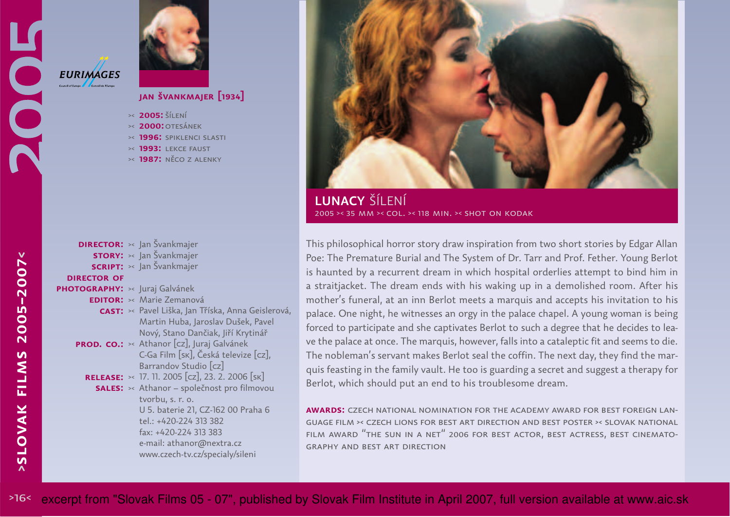# **EURIMAGES** IOC Council of Europe



# **jan švankmajer [1934]**

- **2005:** šílení ><
- **2000:**otesánek ><
- **1996:** spiklenci slasti ><
- **1993:** lekce faust ><
- **1987:** něco z alenky ><

#### **DIRECTOR:** >< Jan Švankmajer **story:** >< Jan Švankmajer **SCRIPT:** >< Jan Švankmajer **PHOTOGRAPHY:** >< Juraj Galvánek **EDITOR:** >< Marie Zemanová **CAST:** >< Pavel Liška, Jan Tříska, Anna Geislerová, Martin Huba, Jaroslav Dušek, PavelNový, Stano Dančiak, Jiří Krytinář**PROD. CO.:**  $\times$  Athanor [cz], Juraj Galvánek C-Ga Film [sk], Česká televize [cz],Barrandov Studio [cz] 17. 11. 2005 [cz], 23. 2. 2006 [sk]**release:**><**SALES:** >< Athanor – společnost pro filmovou tvorbu, s. r. o.U 5. baterie 21, CZ-162 00 Praha 6tel.: +420-224 <sup>313</sup> <sup>382</sup> fax: +420-224 313 383 e-mail: athanor@nextra.cz www.czech-tv.cz/specialy/sileni**director of**



**LUNACY** ŠÍLENÍ2005 >< 35 mm >< col. >< 118 min. >< shot on kodak

This philosophical horror story draw inspiration from two short stories by Edgar Allan Poe: The Premature Burial and The System of Dr. Tarr and Prof. Fether. Young Berlotis haunted by a recurrent dream in which hospital orderlies attempt to bind him in <sup>a</sup> straitjacket. The dream ends with his waking up in a demolished room. After his mother's funeral, at an inn Berlot meets a marquis and accepts his invitation to his palace. One night, he witnesses an orgy in the palace chapel. A young woman is being forced to participate and she captivates Berlot to such a degree that he decides to leave the palace at once. The marquis, however, falls into a cataleptic fit and seems to die. The nobleman's servant makes Berlot seal the coffin. The next day, they find the marquis feasting in the family vault. He too is guarding a secret and suggest a therapy for Berlot, which should put an end to his troublesome dream.

**awards:** czech national nomination for the academy award for best foreign language film ›‹ czech lions for best art direction and best poster ›‹ slovak nationalFILM AWARD  $^{\prime\prime}$ THE SUN IN A NET $^{\prime\prime}$  2006 FOR BEST ACTOR, BEST ACTRESS, BEST CINEMATOgraphy and best art direction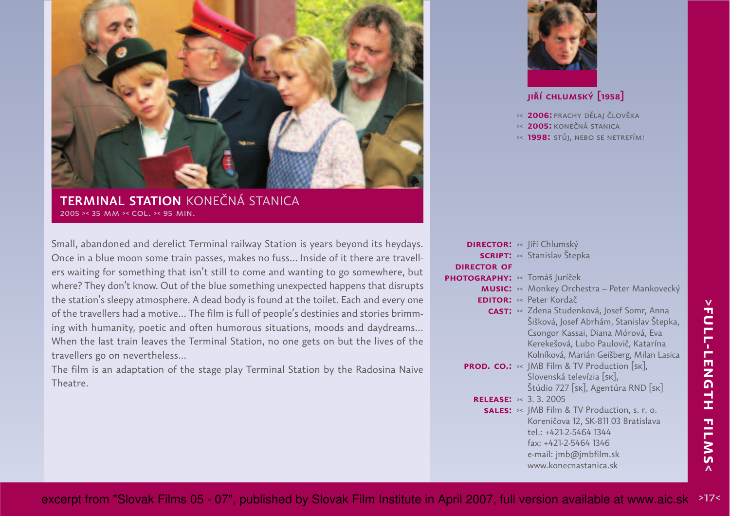

**TERMINAL STATION** KONEČNÁ STANICA2005 >< 35 mm >< col. >< 95 min.

Small, abandoned and derelict Terminal railway Station is years beyond its heydays.Once in a blue moon some train passes, makes no fuss... Inside of it there are travellers waiting for something that isn't still to come and wanting to go somewhere, butwhere? They don't know. Out of the blue something unexpected happens that disruptsthe station's sleepy atmosphere. A dead body is found at the toilet. Each and every one of the travellers had a motive... The film is full of people's destinies and stories brimming with humanity, poetic and often humorous situations, moods and daydreams...When the last train leaves the Terminal Station, no one gets on but the lives of thetravellers go on nevertheless...

The film is an adaptation of the stage play Terminal Station by the Radosina NaiveTheatre.



# **jiří chlumský [1958]**

- **2006:** prachy dělaj člověka><
- **2005:** konečná stanica ><
- **1998:** stůj, nebo se netrefím! ><

|                                   | <b>DIRECTOR:</b> >< Jiří Chlumský                                                                                                                                                                              |
|-----------------------------------|----------------------------------------------------------------------------------------------------------------------------------------------------------------------------------------------------------------|
|                                   | <b>SCRIPT:</b> >< Stanislav Štepka                                                                                                                                                                             |
| <b>DIRECTOR OF</b>                |                                                                                                                                                                                                                |
| PHOTOGRAPHY: × Tomáš Juríček      |                                                                                                                                                                                                                |
|                                   | <b>MUSIC:</b> >< Monkey Orchestra - Peter Mankovecký                                                                                                                                                           |
|                                   | <b>EDITOR:</b> >< Peter Kordač                                                                                                                                                                                 |
|                                   | CAST: « Zdena Studenková, Josef Somr, Anna<br>Šišková, Josef Abrhám, Stanislav Štepka,<br>Csongor Kassai, Diana Mórová, Eva<br>Kerekešová, Lubo Paulovič, Katarína<br>Kolníková, Marián Geišberg, Milan Lasica |
|                                   | <b>PROD. CO.:</b> $\times$ JMB Film & TV Production [SK],<br>Slovenská televízia [sk],<br>Štúdio 727 [sk], Agentúra RND [sk]                                                                                   |
| <b>RELEASE:</b> $\times$ 3.3.2005 |                                                                                                                                                                                                                |
|                                   | <b>SALES:</b> $\times$ JMB Film & TV Production, s. r. o.<br>Koreničova 12, SK-811 03 Bratislava<br>tel.: +421-2-5464 1344<br>fax: +421-2-5464 1346<br>e-mail: jmb@jmbfilm.sk<br>www.konecnastanica.sk         |
|                                   |                                                                                                                                                                                                                |